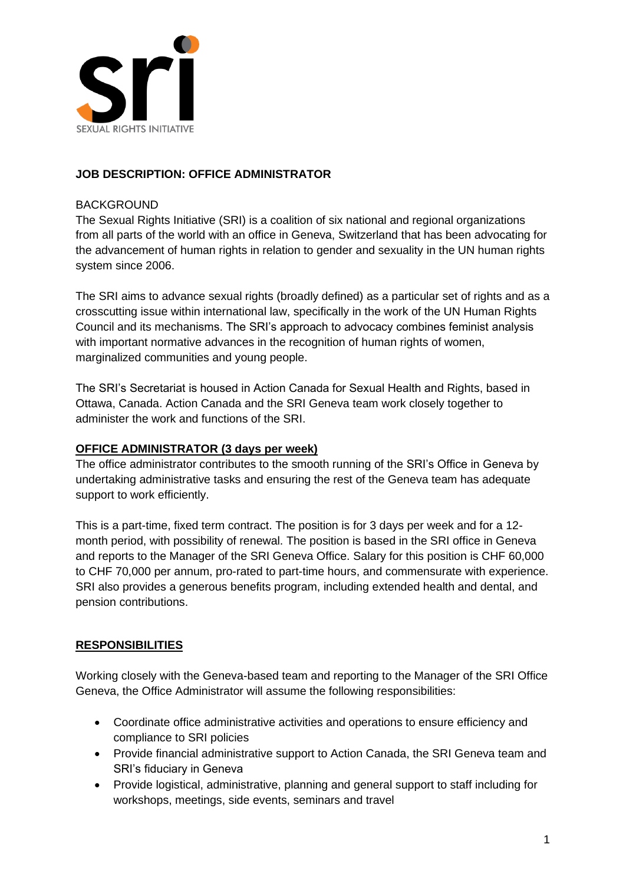

## **JOB DESCRIPTION: OFFICE ADMINISTRATOR**

#### **BACKGROUND**

The Sexual Rights Initiative (SRI) is a coalition of six national and regional organizations from all parts of the world with an office in Geneva, Switzerland that has been advocating for the advancement of human rights in relation to gender and sexuality in the UN human rights system since 2006.

The SRI aims to advance sexual rights (broadly defined) as a particular set of rights and as a crosscutting issue within international law, specifically in the work of the UN Human Rights Council and its mechanisms. The SRI's approach to advocacy combines feminist analysis with important normative advances in the recognition of human rights of women, marginalized communities and young people.

The SRI's Secretariat is housed in Action Canada for Sexual Health and Rights, based in Ottawa, Canada. Action Canada and the SRI Geneva team work closely together to administer the work and functions of the SRI.

#### **OFFICE ADMINISTRATOR (3 days per week)**

The office administrator contributes to the smooth running of the SRI's Office in Geneva by undertaking administrative tasks and ensuring the rest of the Geneva team has adequate support to work efficiently.

This is a part-time, fixed term contract. The position is for 3 days per week and for a 12 month period, with possibility of renewal. The position is based in the SRI office in Geneva and reports to the Manager of the SRI Geneva Office. Salary for this position is CHF 60,000 to CHF 70,000 per annum, pro-rated to part-time hours, and commensurate with experience. SRI also provides a generous benefits program, including extended health and dental, and pension contributions.

## **RESPONSIBILITIES**

Working closely with the Geneva-based team and reporting to the Manager of the SRI Office Geneva, the Office Administrator will assume the following responsibilities:

- Coordinate office administrative activities and operations to ensure efficiency and compliance to SRI policies
- Provide financial administrative support to Action Canada, the SRI Geneva team and SRI's fiduciary in Geneva
- Provide logistical, administrative, planning and general support to staff including for workshops, meetings, side events, seminars and travel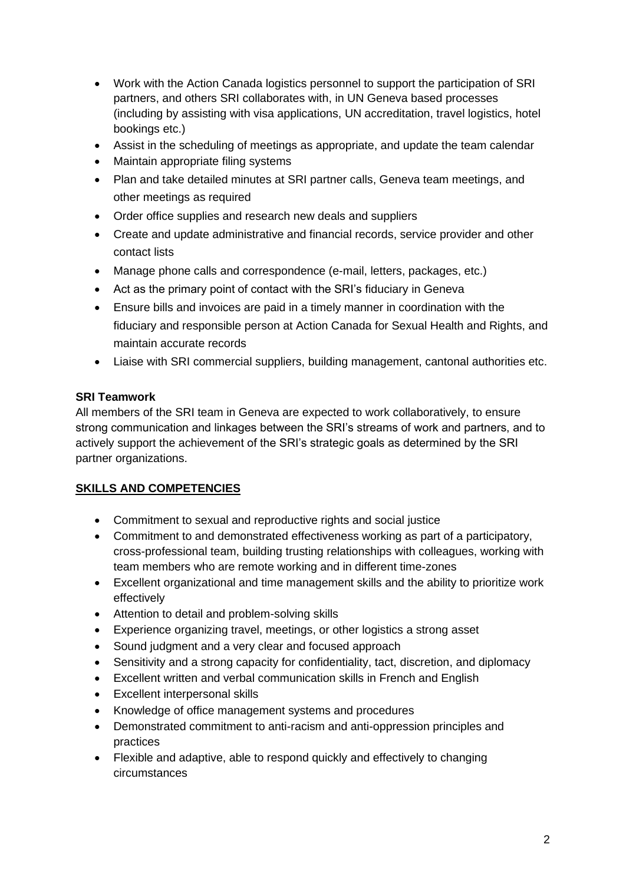- Work with the Action Canada logistics personnel to support the participation of SRI partners, and others SRI collaborates with, in UN Geneva based processes (including by assisting with visa applications, UN accreditation, travel logistics, hotel bookings etc.)
- Assist in the scheduling of meetings as appropriate, and update the team calendar
- Maintain appropriate filing systems
- Plan and take detailed minutes at SRI partner calls, Geneva team meetings, and other meetings as required
- Order office supplies and research new deals and suppliers
- Create and update administrative and financial records, service provider and other contact lists
- Manage phone calls and correspondence (e-mail, letters, packages, etc.)
- Act as the primary point of contact with the SRI's fiduciary in Geneva
- Ensure bills and invoices are paid in a timely manner in coordination with the fiduciary and responsible person at Action Canada for Sexual Health and Rights, and maintain accurate records
- Liaise with SRI commercial suppliers, building management, cantonal authorities etc.

## **SRI Teamwork**

All members of the SRI team in Geneva are expected to work collaboratively, to ensure strong communication and linkages between the SRI's streams of work and partners, and to actively support the achievement of the SRI's strategic goals as determined by the SRI partner organizations.

# **SKILLS AND COMPETENCIES**

- Commitment to sexual and reproductive rights and social justice
- Commitment to and demonstrated effectiveness working as part of a participatory, cross-professional team, building trusting relationships with colleagues, working with team members who are remote working and in different time-zones
- Excellent organizational and time management skills and the ability to prioritize work effectively
- Attention to detail and problem-solving skills
- Experience organizing travel, meetings, or other logistics a strong asset
- Sound judgment and a very clear and focused approach
- Sensitivity and a strong capacity for confidentiality, tact, discretion, and diplomacy
- Excellent written and verbal communication skills in French and English
- Excellent interpersonal skills
- Knowledge of office management systems and procedures
- Demonstrated commitment to anti-racism and anti-oppression principles and practices
- Flexible and adaptive, able to respond quickly and effectively to changing circumstances